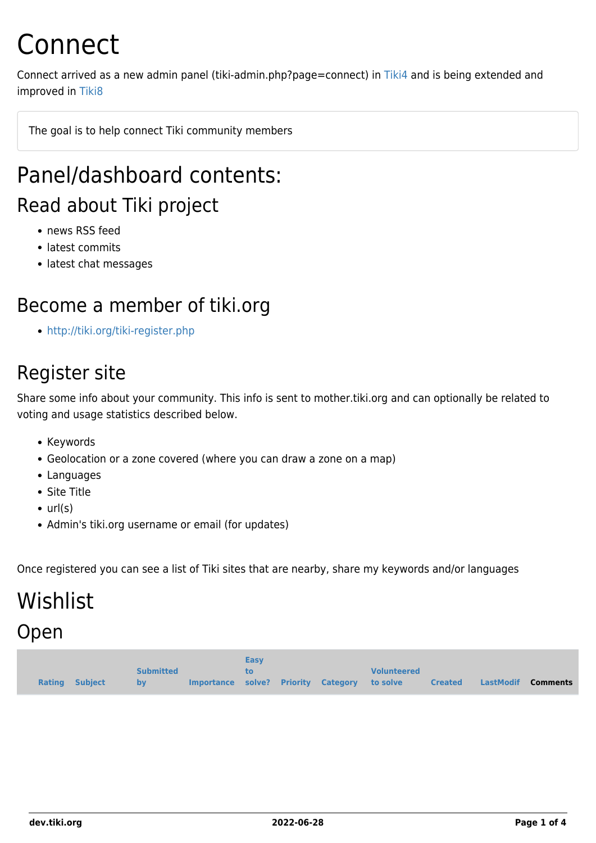# Connect

Connect arrived as a new admin panel (tiki-admin.php?page=connect) in [Tiki4](https://dev.tiki.org/Tiki4) and is being extended and improved in [Tiki8](https://dev.tiki.org/Tiki8)

The goal is to help connect Tiki community members

### Panel/dashboard contents: Read about Tiki project

- news RSS feed
- latest commits
- latest chat messages

#### Become a member of tiki.org

<http://tiki.org/tiki-register.php>

#### Register site

Share some info about your community. This info is sent to mother.tiki.org and can optionally be related to voting and usage statistics described below.

- Keywords
- Geolocation or a zone covered (where you can draw a zone on a map)
- Languages
- Site Title
- $\bullet$  url(s)
- Admin's tiki.org username or email (for updates)

Once registered you can see a list of Tiki sites that are nearby, share my keywords and/or languages

# Wishlist

#### Open

|                |                  |                                              | <b>Easy</b> |  |                    |                |                           |
|----------------|------------------|----------------------------------------------|-------------|--|--------------------|----------------|---------------------------|
|                | <b>Submitted</b> |                                              |             |  | <b>Volunteered</b> |                |                           |
| Rating Subject | by               | Importance solve? Priority Category to solve |             |  |                    | <b>Created</b> | LastModif <b>Comments</b> |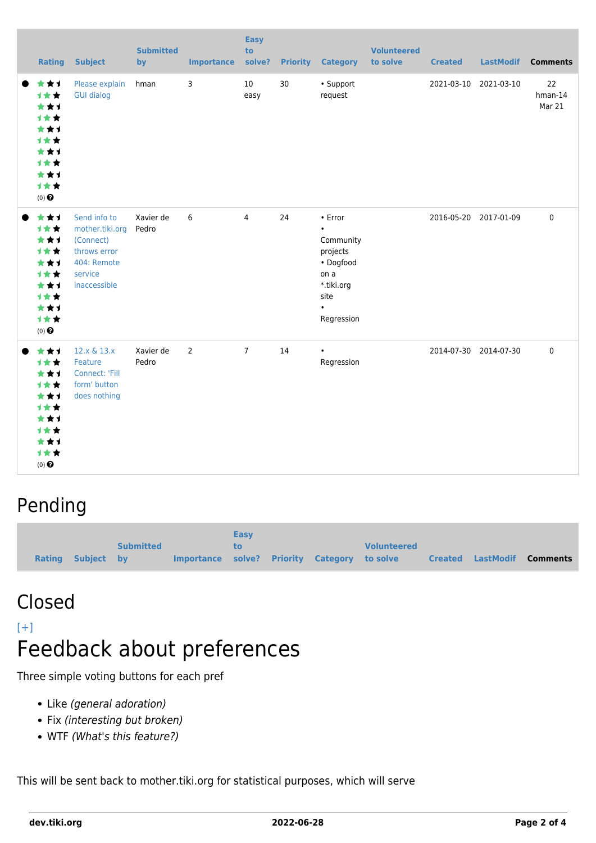| Rating                                                                                                                  | <b>Subject</b>                                                                                         | <b>Submitted</b><br>by | <b>Importance</b> | <b>Easy</b><br>to<br>solve? | <b>Priority</b> | <b>Category</b>                                                                                                           | <b>Volunteered</b><br>to solve | <b>Created</b> |                       | LastModif Comments         |
|-------------------------------------------------------------------------------------------------------------------------|--------------------------------------------------------------------------------------------------------|------------------------|-------------------|-----------------------------|-----------------|---------------------------------------------------------------------------------------------------------------------------|--------------------------------|----------------|-----------------------|----------------------------|
| ***<br>1★★<br>***<br>1★★<br>***<br><b>1**</b><br>***<br><b>1**</b><br>***<br>1★★<br>$(0)$ <sup><math>\odot</math></sup> | Please explain<br><b>GUI dialog</b>                                                                    | hman                   | 3                 | 10<br>easy                  | 30              | • Support<br>request                                                                                                      |                                | 2021-03-10     | 2021-03-10            | 22<br>$h$ man-14<br>Mar 21 |
| ***<br>1★★<br>***<br><b>1**</b><br>***<br><b>1**</b><br>***<br>1★★<br>***<br>计女女<br>$(0)$ $\odot$                       | Send info to<br>mother.tiki.org<br>(Connect)<br>throws error<br>404: Remote<br>service<br>inaccessible | Xavier de<br>Pedro     | 6                 | $\overline{4}$              | 24              | $\cdot$ Error<br>$\bullet$<br>Community<br>projects<br>• Dogfood<br>on a<br>*.tiki.org<br>site<br>$\bullet$<br>Regression |                                |                | 2016-05-20 2017-01-09 | $\mathbf 0$                |
| ***<br>1★★<br>***<br><b>1**</b><br>***<br><b>1**</b><br>***<br><b>1**</b><br>***<br>计女女<br>$(0)$ $\odot$                | 12.x & 13.x<br>Feature<br>Connect: 'Fill<br>form' button<br>does nothing                               | Xavier de<br>Pedro     | $\overline{2}$    | $\overline{7}$              | 14              | $\bullet$<br>Regression                                                                                                   |                                |                | 2014-07-30 2014-07-30 | $\mathbf 0$                |

#### Pending

|                   |                  |                                              | <b>Easy</b> |  |                    |                                   |  |
|-------------------|------------------|----------------------------------------------|-------------|--|--------------------|-----------------------------------|--|
|                   | <b>Submitted</b> |                                              | tο          |  | <b>Volunteered</b> |                                   |  |
| Rating Subiect by |                  | Importance solve? Priority Category to solve |             |  |                    | <b>Created LastModif Comments</b> |  |

### Closed

#### [\[+\]](#page--1-0) Feedback about preferences

Three simple voting buttons for each pref

- Like (general adoration)
- Fix (interesting but broken)
- WTF (What's this feature?)

This will be sent back to mother.tiki.org for statistical purposes, which will serve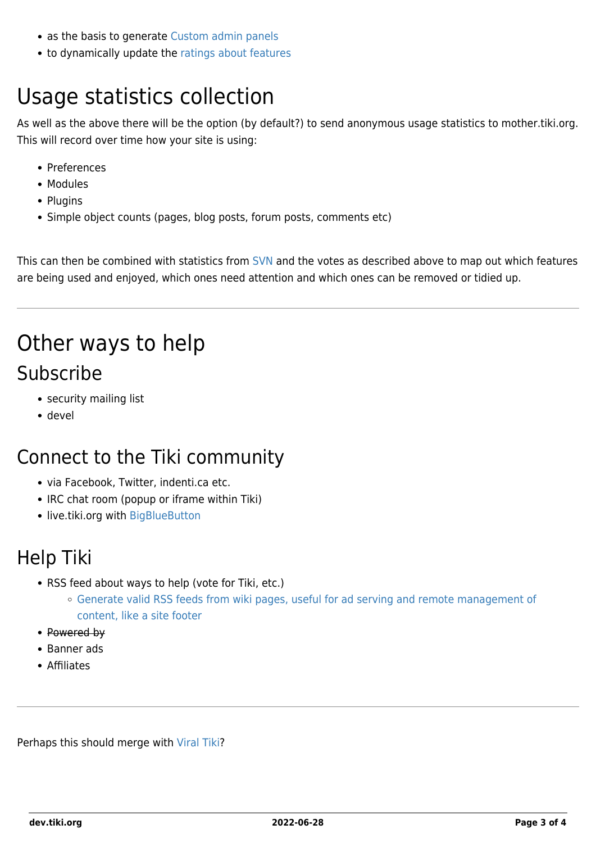- as the basis to generate [Custom admin panels](https://dev.tiki.org/Preferences#Custom_admin_panels)
- to dynamically update the [ratings about features](http://doc.tiki.org/features)

## Usage statistics collection

As well as the above there will be the option (by default?) to send anonymous usage statistics to mother.tiki.org. This will record over time how your site is using:

- Preferences
- Modules
- Plugins
- Simple object counts (pages, blog posts, forum posts, comments etc)

This can then be combined with statistics from [SVN](https://sourceforge.net/project/stats/?group_id=64258&ugn=tikiwiki) and the votes as described above to map out which features are being used and enjoyed, which ones need attention and which ones can be removed or tidied up.

### Other ways to help Subscribe

- security mailing list
- devel

#### Connect to the Tiki community

- via Facebook, Twitter, indenti.ca etc.
- IRC chat room (popup or iframe within Tiki)
- live.tiki.org with [BigBlueButton](https://dev.tiki.org/BigBlueButton)

#### Help Tiki

- RSS feed about ways to help (vote for Tiki, etc.)
	- [Generate valid RSS feeds from wiki pages, useful for ad serving and remote management of](https://dev.tiki.org/wish3103) [content, like a site footer](https://dev.tiki.org/wish3103)
- Powered by
- Banner ads
- Affiliates

Perhaps this should merge with [Viral Tiki?](http://tiki.org/Viral%20Tiki)